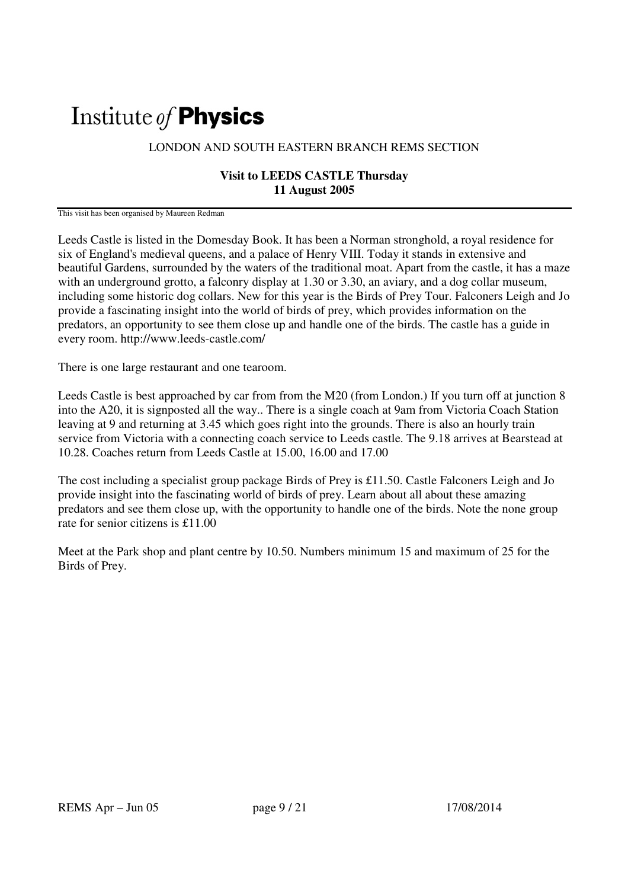## Institute of **Physics**

## LONDON AND SOUTH EASTERN BRANCH REMS SECTION

## **Visit to LEEDS CASTLE Thursday 11 August 2005**

This visit has been organised by Maureen Redman

Leeds Castle is listed in the Domesday Book. It has been a Norman stronghold, a royal residence for six of England's medieval queens, and a palace of Henry VIII. Today it stands in extensive and beautiful Gardens, surrounded by the waters of the traditional moat. Apart from the castle, it has a maze with an underground grotto, a falconry display at 1.30 or 3.30, an aviary, and a dog collar museum, including some historic dog collars. New for this year is the Birds of Prey Tour. Falconers Leigh and Jo provide a fascinating insight into the world of birds of prey, which provides information on the predators, an opportunity to see them close up and handle one of the birds. The castle has a guide in every room. http://www.leeds-castle.com/

There is one large restaurant and one tearoom.

Leeds Castle is best approached by car from from the M20 (from London.) If you turn off at junction 8 into the A20, it is signposted all the way.. There is a single coach at 9am from Victoria Coach Station leaving at 9 and returning at 3.45 which goes right into the grounds. There is also an hourly train service from Victoria with a connecting coach service to Leeds castle. The 9.18 arrives at Bearstead at 10.28. Coaches return from Leeds Castle at 15.00, 16.00 and 17.00

The cost including a specialist group package Birds of Prey is £11.50. Castle Falconers Leigh and Jo provide insight into the fascinating world of birds of prey. Learn about all about these amazing predators and see them close up, with the opportunity to handle one of the birds. Note the none group rate for senior citizens is £11.00

Meet at the Park shop and plant centre by 10.50. Numbers minimum 15 and maximum of 25 for the Birds of Prey.